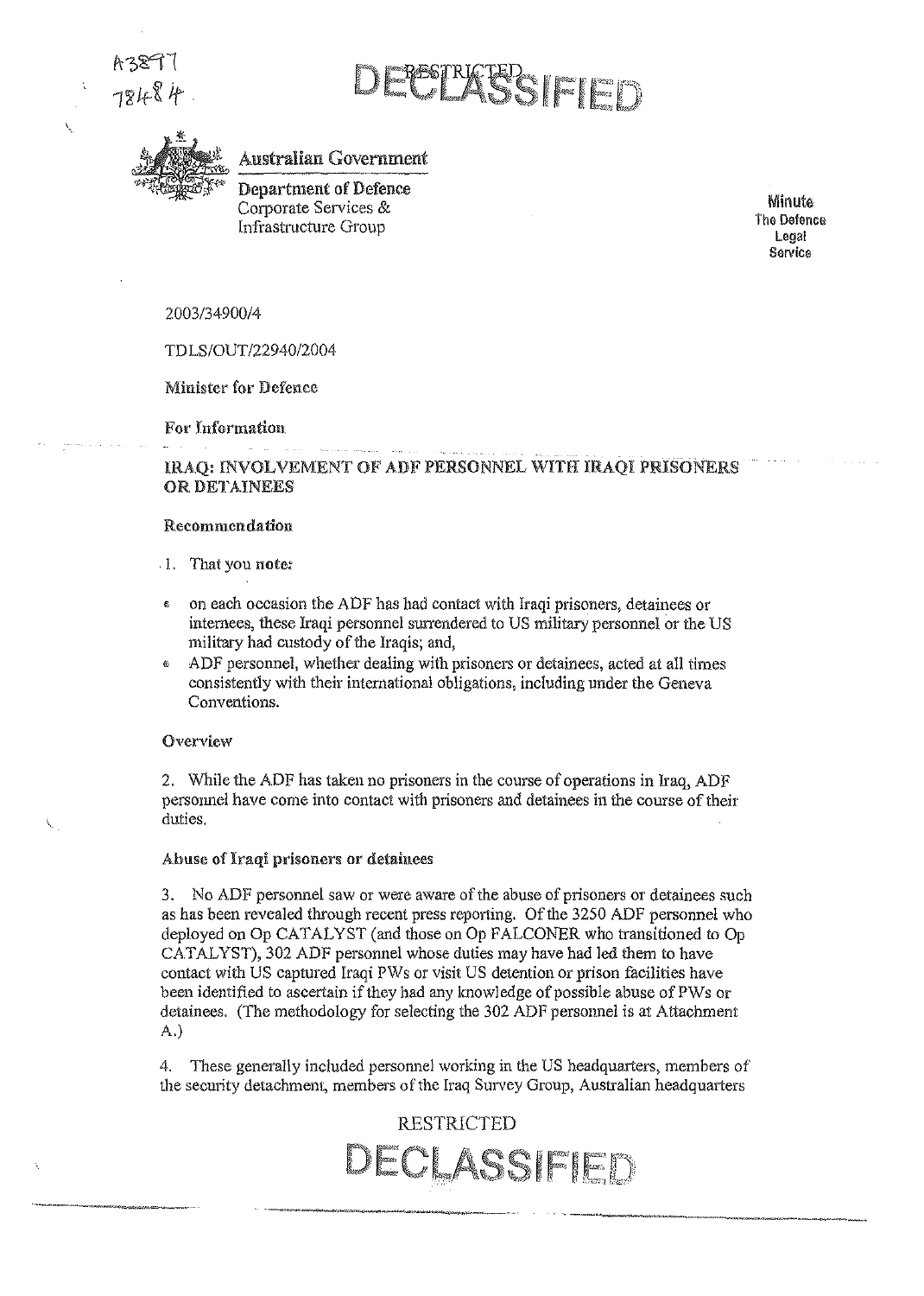$A381$ 78484

\.

BESTRICTED (FILET)



Australian Government

Department of Defence Corporate Services & lnfrastructure Group

Minute The Defence Legal Service

*2003/34900/4* 

*TDLSIOUT/2294012004* 

Minister for Defence

For Information

### IRAQ: fNVOLVEMENT OF ADi? PERSONNEL WITH IRAQI PRISONERS OR DETAINEES

### Recommendation

- . 1. That you note;
- on each occasion the ADF has had contact with lraqi prisoners, detainees or internees, these Iraqi personnel surrendered to US military personnel or the US military had custody of the Iraqis; and,
- ADF personnel, whether dealing with prisoners or detainees, acted at all times consistently with their international obligations, including under the Geneva Conventions,

#### Overview

2. While the ADF has taken no prisoners in the course of operations in Iraq, ADF personnel have come into contact with prisoners and detainees in the course of their duties.

### Abuse of Iraqi prisoners or detainees

3. No ADF personnel saw or were aware of the abuse of prisoners or detainees such as has been revealed through recent press reporting. Of the 3250 ADF personnel who deployed on Op CATALYST (and those on Op FALCONER who transitioned to Op CATALYST), 302 ADF personnel whose duties may have had led them to have contact with US captured Iraqi PWs or visit US detention or prison facilities have been identified to ascertain if they had any knowledge of possible abuse ofPWs or detainees, (The methodology for selecting the 302 ADF personnel is at Attachment A.)

4. These generally included personnel working in the US headquarters, members of the security detachment, members of the Iraq Survey Group, Australian headquarters

## RESTRICTED DECLASSIFIE: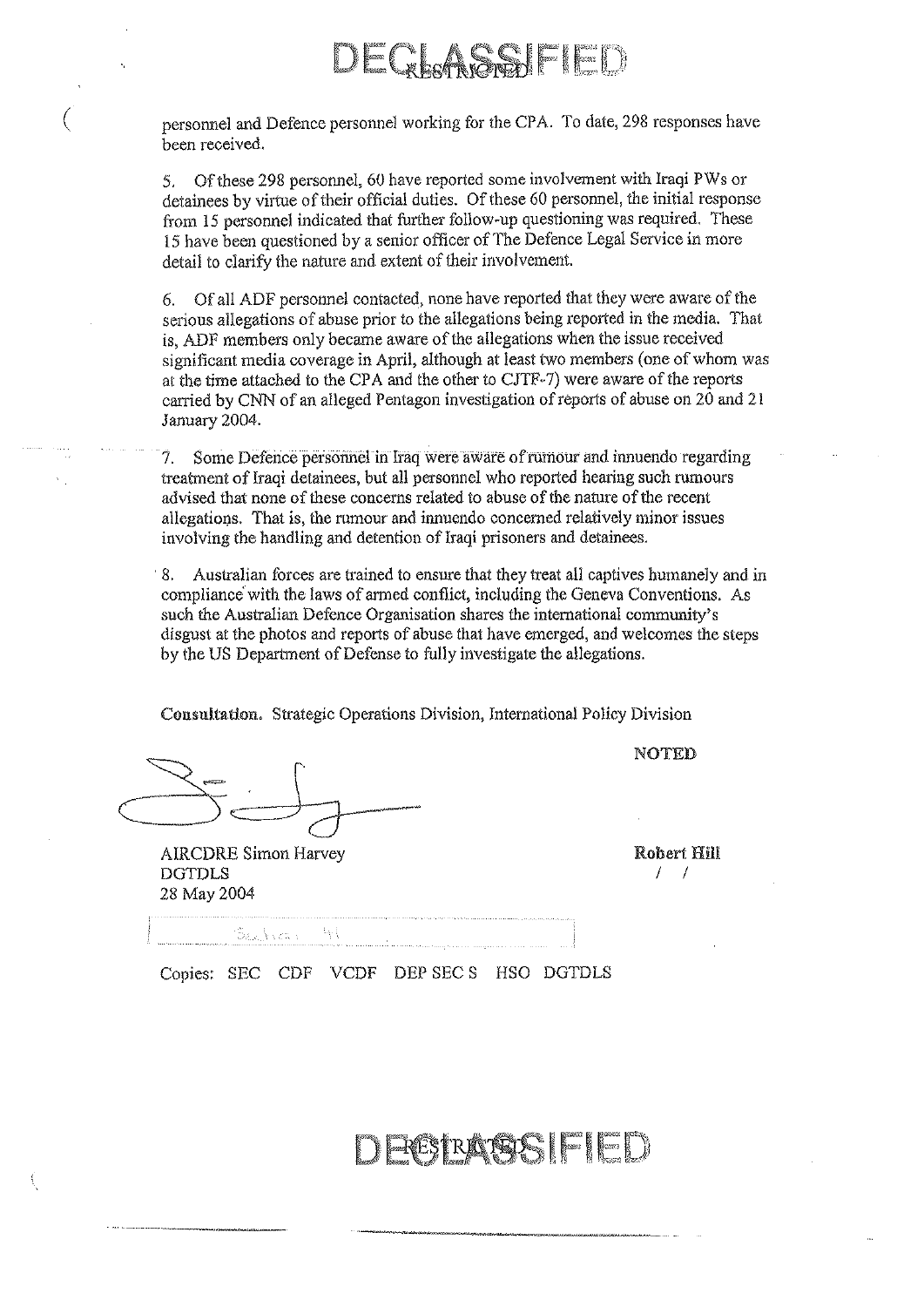## 2 Leadh (Shealth Eil

( personnel and Defence personnel working for the CPA. To date, 298 responses have been received.

5. Of these 298 personnel, 60 have reported some involvement with Iraqi PWs or detainees by virtue of their official duties. Of these 60 personnel, the initial response from 15 personnel indicated that further follow-up questioning was required. These 15 have been questioned by a senior officer of The Defence Legal Service in more detail to clarify the nature and extent of their involvement.

6. Of all ADP personnel contacted, none have reported that they were aware of the serious allegations of abuse prior to the allegations being reported in the media. That is, ADF members only became aware of the allegations when the issue received significant media coverage in April, although at least two members (one of whom was at the time attached to the CPA and the other to CJTF· 7) were aware of the reports carried by CNN of an alleged Pentagon investigation of reports of abuse on 20 and 21 January 2004.

7. Some Defence personnel in Iraq were aware of rumour and innuendo regarding treatment of Iraqi detainees, but all personnel who reported hearing such rumours advised that none of these concerns related to abuse of the natore of the recent allegations. That is, the rumour and innuendo concerned relatively minor issues involving the handling and detention of Iraqi prisoners and detainees .

. 8. A.ustralian forces are trained to ensure that they treat all captives humanely and in compliance with the laws of armed conflict, including the Geneva Conventions. As such the Australian Defence Organisation shares the international community's disgust at the photos and reports of abuse that have emerged, and welcomes the steps by the US Department of Defense to fully investigate the allegations.

Consnltatlon. Strategic Operations Division, International Policy Division

AIRCDRE Simon Harvey DGTDLS 28 May 2004

Robert Hill  $I-I$ 

NOTED

Beathean

Copies: SEC CDF VCDF DEP SEC S HSO DGTDLS

RATES FIED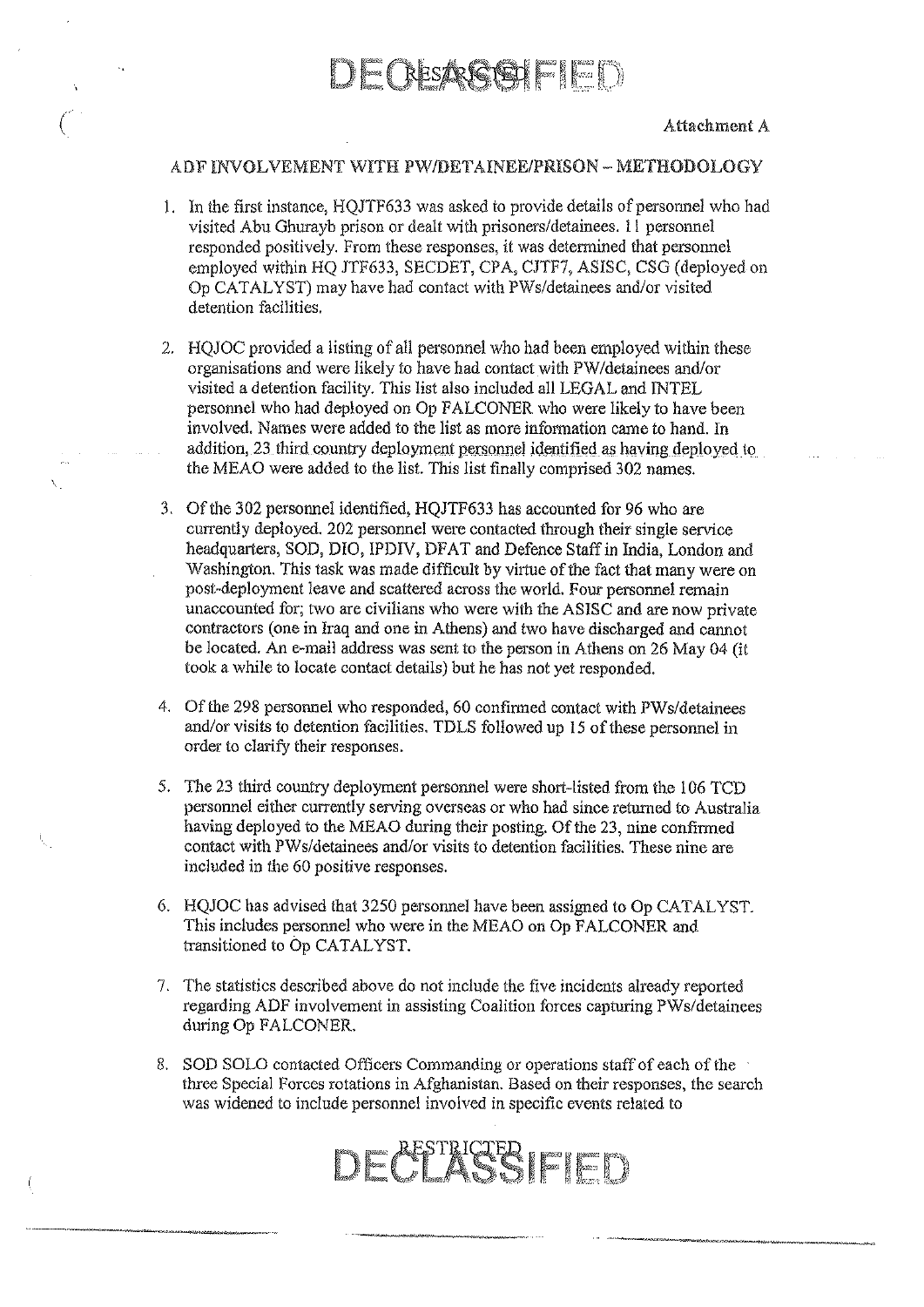

### ADF INVOLVEMENT WITH PWIDETAINEE/PRISON - METHODOLOGY

- 1. In the first instance, HQJTF633 was asked to provide details of personnel who had visited Abu Ghurayb prison or dealt with prisoners/detainees. 11 personnel responded positively. From these responses, it was determined that personnel employed within HQ JTF633, SECDET, CPA, CJTF7, ASISC, CSG (deployed on Op CA TAL YST) may have had contact with PWs/detainees and/or visited detention facilities.
- 2. HQJOC provided a listing of all personnel who had been employed within these organisations and were likely to have had contact with PW/detainees and/or visited a detention facility. This list also included all LEGAL and INTEL personnel who had deployed on Op FALCONER who were likely to have been involved. Names were added to the list as more information came to hand. In addition, 23 third country deployment personnel identified as having deployed to the MEAO were added to the list. This list finally comprised 302 names.
- 3. Of the 302 personnel identified, HQJTF633 has accounted for 96 who are currently deployed. 202 personnel were contacted through their single service headquarters, SOD, DIO, IPDIV, DFAT and Defence Staff in India, London and Washington. This task was made difficult by virtue of the fact that many were on post-deployment leave and scattered across the world. Four personnel remain unaccounted for; two are civilians who were with the ASISC and are now private contractors (one in Iraq and one in Athens) and two have discharged and cannot be located. An e-mail address was sent to the person in Athens on 26 May 04 (it took a while to locate contact details) but he has not yet responded.
- 4. Of the 298 personnel who responded, 60 confirmed contact with PWs/detainees and/or visits to detention facilities. TDLS followed up 15 of these personnel in order to clarify their responses.
- 5. The 23 third country deployment personnel were short-listed from the 106 TCD personnel either currently serving overseas or who had since returned to Australia having deployed to the MEAO during their posting. Of the 23, nine confirmed contact with PWs/detainees and/or visits to detention facilities. These nine are included in the 60 positive responses.
- 6. HQJOC has advised that 3250 personnel have been assigned to Op CA TAL YST. This includes personnel who were in the MEAO on Op FALCONER and transitioned to Op CATALYST.
- 7. The statistics described above do not include the five incidents already reported regarding ADF involvement in assisting Coalition forces capturing PWs/detainees during Op FALCONER.
- 8. SOD SOLO contacted Officers Commanding or operations staff of each of the three Special Forces rotations in Afghanistan. Based on their responses, the search was widened to include personnel involved in specific events related to